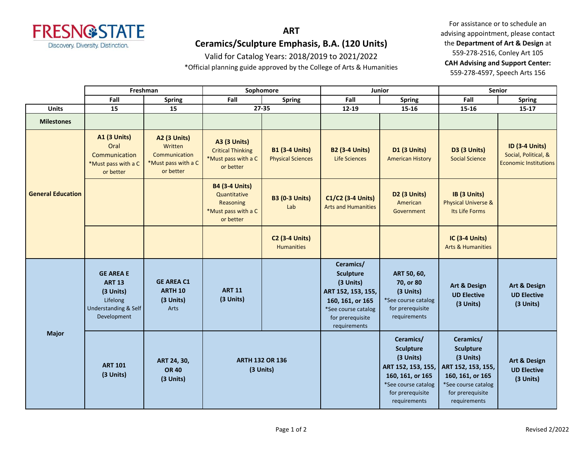

### Valid for Catalog Years: 2018/2019 to 2021/2022

\*Official planning guide approved by the College of Arts & Humanities

For assistance or to schedule an advising appointment, please contact the **Department of Art & Design** at 559-278-2516, Conley Art 105 **CAH Advising and Support Center:**  559-278-4597, Speech Arts 156

|                          | Freshman                                                                                          |                                                                                     | Sophomore                                                                              |                                                   |                                                                                                                                                 | <b>Junior</b>                                                                                                                                   | <b>Senior</b>                                                                                                                                   |                                                                               |
|--------------------------|---------------------------------------------------------------------------------------------------|-------------------------------------------------------------------------------------|----------------------------------------------------------------------------------------|---------------------------------------------------|-------------------------------------------------------------------------------------------------------------------------------------------------|-------------------------------------------------------------------------------------------------------------------------------------------------|-------------------------------------------------------------------------------------------------------------------------------------------------|-------------------------------------------------------------------------------|
|                          | Fall                                                                                              | <b>Spring</b>                                                                       | Fall<br><b>Spring</b>                                                                  |                                                   | Fall                                                                                                                                            | <b>Spring</b>                                                                                                                                   |                                                                                                                                                 | <b>Spring</b>                                                                 |
| <b>Units</b>             | 15                                                                                                | 15                                                                                  |                                                                                        | $27 - 35$                                         | $12 - 19$<br>15-16                                                                                                                              |                                                                                                                                                 | 15-16                                                                                                                                           | $15 - 17$                                                                     |
| <b>Milestones</b>        |                                                                                                   |                                                                                     |                                                                                        |                                                   |                                                                                                                                                 |                                                                                                                                                 |                                                                                                                                                 |                                                                               |
| <b>General Education</b> | <b>A1 (3 Units)</b><br>Oral<br>Communication<br>*Must pass with a C<br>or better                  | <b>A2 (3 Units)</b><br>Written<br>Communication<br>*Must pass with a C<br>or better | <b>A3 (3 Units)</b><br><b>Critical Thinking</b><br>*Must pass with a C<br>or better    | <b>B1 (3-4 Units)</b><br><b>Physical Sciences</b> | <b>B2 (3-4 Units)</b><br>Life Sciences                                                                                                          | <b>D1 (3 Units)</b><br><b>American History</b>                                                                                                  | <b>D3 (3 Units)</b><br><b>Social Science</b>                                                                                                    | <b>ID (3-4 Units)</b><br>Social, Political, &<br><b>Economic Institutions</b> |
|                          |                                                                                                   |                                                                                     | <b>B4 (3-4 Units)</b><br>Quantitative<br>Reasoning<br>*Must pass with a C<br>or better | <b>B3 (0-3 Units)</b><br>Lab                      | C1/C2 (3-4 Units)<br><b>Arts and Humanities</b>                                                                                                 | <b>D2 (3 Units)</b><br>American<br>Government                                                                                                   | IB (3 Units)<br><b>Physical Universe &amp;</b><br>Its Life Forms                                                                                |                                                                               |
|                          |                                                                                                   |                                                                                     |                                                                                        | <b>C2 (3-4 Units)</b><br><b>Humanities</b>        |                                                                                                                                                 |                                                                                                                                                 | <b>IC (3-4 Units)</b><br><b>Arts &amp; Humanities</b>                                                                                           |                                                                               |
| <b>Major</b>             | <b>GE AREA E</b><br><b>ART 13</b><br>(3 Units)<br>Lifelong<br>Understanding & Self<br>Development | <b>GE AREA C1</b><br><b>ARTH 10</b><br>(3 Units)<br>Arts                            | <b>ART 11</b><br>(3 Units)                                                             |                                                   | Ceramics/<br><b>Sculpture</b><br>(3 Units)<br>ART 152, 153, 155,<br>160, 161, or 165<br>*See course catalog<br>for prerequisite<br>requirements | ART 50, 60,<br>70, or 80<br>(3 Units)<br>*See course catalog<br>for prerequisite<br>requirements                                                | Art & Design<br><b>UD Elective</b><br>(3 Units)                                                                                                 | Art & Design<br><b>UD Elective</b><br>(3 Units)                               |
|                          | <b>ART 101</b><br>(3 Units)                                                                       | ART 24, 30,<br><b>OR 40</b><br>(3 Units)                                            | <b>ARTH 132 OR 136</b><br>(3 Units)                                                    |                                                   |                                                                                                                                                 | Ceramics/<br><b>Sculpture</b><br>(3 Units)<br>ART 152, 153, 155,<br>160, 161, or 165<br>*See course catalog<br>for prerequisite<br>requirements | Ceramics/<br><b>Sculpture</b><br>(3 Units)<br>ART 152, 153, 155,<br>160, 161, or 165<br>*See course catalog<br>for prerequisite<br>requirements | Art & Design<br><b>UD Elective</b><br>(3 Units)                               |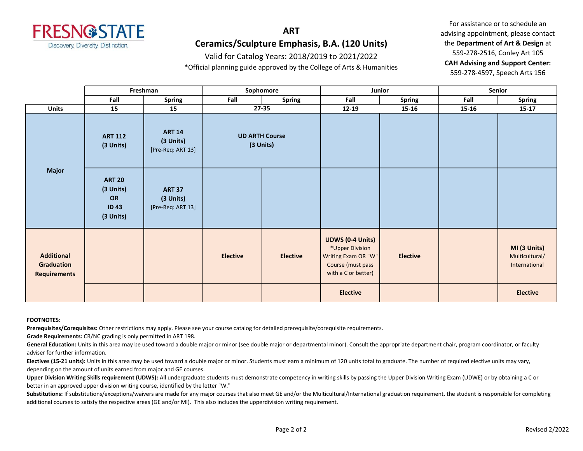

### Valid for Catalog Years: 2018/2019 to 2021/2022

\*Official planning guide approved by the College of Arts & Humanities

For assistance or to schedule an advising appointment, please contact the **Department of Art & Design** at 559-278-2516, Conley Art 105 **CAH Advising and Support Center:**  559-278-4597, Speech Arts 156

|                                                        | Freshman                                                            |                                                 | Sophomore                          |                 | Junior                                                                                                        |                 | Senior    |                                                 |
|--------------------------------------------------------|---------------------------------------------------------------------|-------------------------------------------------|------------------------------------|-----------------|---------------------------------------------------------------------------------------------------------------|-----------------|-----------|-------------------------------------------------|
|                                                        | Fall                                                                | <b>Spring</b>                                   | Fall                               | <b>Spring</b>   | Fall                                                                                                          | Spring          | Fall      | <b>Spring</b>                                   |
| <b>Units</b>                                           | 15                                                                  | 15                                              | $27 - 35$                          |                 | $12 - 19$                                                                                                     | $15 - 16$       | $15 - 16$ | $15 - 17$                                       |
| <b>Major</b>                                           | <b>ART 112</b><br>(3 Units)                                         | <b>ART 14</b><br>(3 Units)<br>[Pre-Req: ART 13] | <b>UD ARTH Course</b><br>(3 Units) |                 |                                                                                                               |                 |           |                                                 |
|                                                        | <b>ART 20</b><br>(3 Units)<br><b>OR</b><br><b>ID43</b><br>(3 Units) | <b>ART 37</b><br>(3 Units)<br>[Pre-Req: ART 13] |                                    |                 |                                                                                                               |                 |           |                                                 |
| <b>Additional</b><br>Graduation<br><b>Requirements</b> |                                                                     |                                                 | <b>Elective</b>                    | <b>Elective</b> | <b>UDWS (0-4 Units)</b><br>*Upper Division<br>Writing Exam OR "W"<br>Course (must pass<br>with a C or better) | <b>Elective</b> |           | MI (3 Units)<br>Multicultural/<br>International |
|                                                        |                                                                     |                                                 |                                    |                 | <b>Elective</b>                                                                                               |                 |           | <b>Elective</b>                                 |

#### **FOOTNOTES:**

**Prerequisites/Corequisites:** Other restrictions may apply. Please see your course catalog for detailed prerequisite/corequisite requirements.

**Grade Requirements:** CR/NC grading is only permitted in ART 198.

General Education: Units in this area may be used toward a double major or minor (see double major or departmental minor). Consult the appropriate department chair, program coordinator, or faculty adviser for further information.

**Electives (15-21 units):** Units in this area may be used toward a double major or minor. Students must earn a minimum of 120 units total to graduate. The number of required elective units may vary, depending on the amount of units earned from major and GE courses.

Upper Division Writing Skills requirement (UDWS): All undergraduate students must demonstrate competency in writing skills by passing the Upper Division Writing Exam (UDWE) or by obtaining a C or better in an approved upper division writing course, identified by the letter "W."

Substitutions: If substitutions/exceptions/waivers are made for any major courses that also meet GE and/or the Multicultural/International graduation requirement, the student is responsible for completing additional courses to satisfy the respective areas (GE and/or MI). This also includes the upperdivision writing requirement.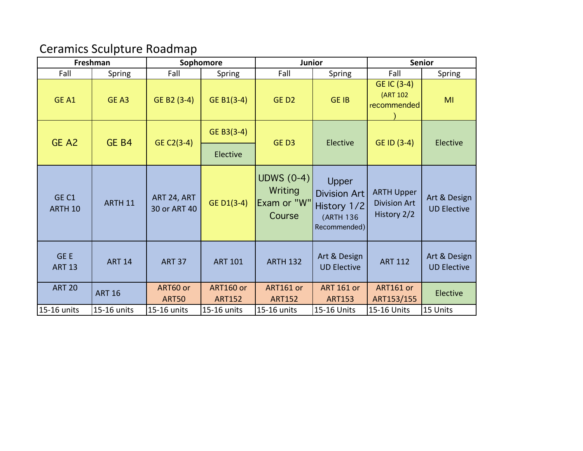# Ceramics Sculpture Roadmap

| Freshman                           |                    | Sophomore                   |                            | <b>Junior</b>                                         |                                                                          | Senior                                                  |                                    |  |
|------------------------------------|--------------------|-----------------------------|----------------------------|-------------------------------------------------------|--------------------------------------------------------------------------|---------------------------------------------------------|------------------------------------|--|
| Fall                               | Spring             | Fall                        | Spring                     | Fall                                                  | Spring                                                                   | Fall                                                    | Spring                             |  |
| GE A1                              | GE <sub>A3</sub>   | GE B2 (3-4)                 | GE B1(3-4)                 | GED <sub>2</sub>                                      | <b>GE IB</b>                                                             | GE IC (3-4)<br>(ART 102<br>recommended                  | MI                                 |  |
| GE A2                              | GE B4              | GE C2(3-4)                  | GE B3(3-4)                 | GED3                                                  | Elective                                                                 | GE ID (3-4)                                             | Elective                           |  |
|                                    |                    |                             | Elective                   |                                                       |                                                                          |                                                         |                                    |  |
| GE <sub>C1</sub><br><b>ARTH 10</b> | ARTH <sub>11</sub> | ART 24, ART<br>30 or ART 40 | GE D1(3-4)                 | <b>UDWS (0-4)</b><br>Writing<br>Exam or "W"<br>Course | Upper<br><b>Division Art</b><br>History 1/2<br>(ARTH 136<br>Recommended) | <b>ARTH Upper</b><br><b>Division Art</b><br>History 2/2 | Art & Design<br><b>UD Elective</b> |  |
| GE E<br><b>ART 13</b>              | <b>ART 14</b>      | <b>ART 37</b>               | <b>ART 101</b>             | <b>ARTH 132</b>                                       | Art & Design<br><b>UD Elective</b>                                       | <b>ART 112</b>                                          | Art & Design<br><b>UD Elective</b> |  |
| <b>ART 20</b>                      | <b>ART 16</b>      | ART60 or<br><b>ART50</b>    | ART160 or<br><b>ART152</b> | ART161 or<br><b>ART152</b>                            | <b>ART 161 or</b><br><b>ART153</b>                                       | ART161 or<br>ART153/155                                 | Elective                           |  |
| 15-16 units                        | 15-16 units        | 15-16 units                 | 15-16 units                | 15-16 units                                           | 15-16 Units                                                              | 15-16 Units                                             | 15 Units                           |  |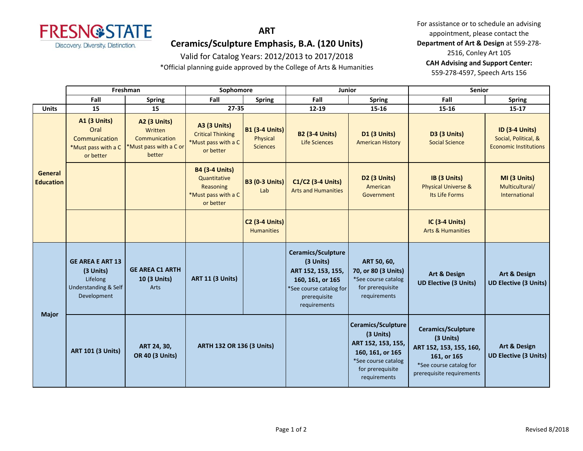

#### Valid for Catalog Years: 2012/2013 to 2017/2018

\*Official planning guide approved by the College of Arts & Humanities

For assistance or to schedule an advising appointment, please contact the **Department of Art & Design** at 559-278- 2516, Conley Art 105 **CAH Advising and Support Center:**  559-278-4597, Speech Arts 156

|                             | Freshman                                                                                           |                                                                                     | Sophomore                                                                                     |                                                      | Junior                                                                                                                               |                                                                                                                                      | Senior                                                                                                                            |                                                                               |
|-----------------------------|----------------------------------------------------------------------------------------------------|-------------------------------------------------------------------------------------|-----------------------------------------------------------------------------------------------|------------------------------------------------------|--------------------------------------------------------------------------------------------------------------------------------------|--------------------------------------------------------------------------------------------------------------------------------------|-----------------------------------------------------------------------------------------------------------------------------------|-------------------------------------------------------------------------------|
| Fall<br><b>Spring</b>       |                                                                                                    |                                                                                     | Fall                                                                                          | <b>Spring</b>                                        | Fall                                                                                                                                 | <b>Spring</b>                                                                                                                        | Fall                                                                                                                              | <b>Spring</b>                                                                 |
| <b>Units</b>                | 15                                                                                                 | 15                                                                                  | 27-35                                                                                         |                                                      | $12 - 19$                                                                                                                            | 15-16                                                                                                                                | 15-16                                                                                                                             | $15 - 17$                                                                     |
| General<br><b>Education</b> | <b>A1 (3 Units)</b><br>Oral<br>Communication<br>*Must pass with a C<br>or better                   | <b>A2 (3 Units)</b><br>Written<br>Communication<br>*Must pass with a C or<br>better | <b>A3 (3 Units)</b><br><b>Critical Thinking</b><br>*Must pass with a C<br>or better           | <b>B1 (3-4 Units)</b><br>Physical<br><b>Sciences</b> | <b>B2 (3-4 Units)</b><br><b>Life Sciences</b>                                                                                        | <b>D1 (3 Units)</b><br><b>American History</b>                                                                                       | <b>D3 (3 Units)</b><br><b>Social Science</b>                                                                                      | <b>ID (3-4 Units)</b><br>Social, Political, &<br><b>Economic Institutions</b> |
|                             |                                                                                                    |                                                                                     | <b>B4 (3-4 Units)</b><br>Quantitative<br><b>Reasoning</b><br>*Must pass with a C<br>or better | <b>B3 (0-3 Units)</b><br>Lab                         | C1/C2 (3-4 Units)<br><b>Arts and Humanities</b>                                                                                      | D <sub>2</sub> (3 Units)<br>American<br>Government                                                                                   | IB (3 Units)<br><b>Physical Universe &amp;</b><br>Its Life Forms                                                                  | MI (3 Units)<br>Multicultural/<br>International                               |
|                             |                                                                                                    |                                                                                     |                                                                                               | <b>C2 (3-4 Units)</b><br><b>Humanities</b>           |                                                                                                                                      |                                                                                                                                      | <b>IC (3-4 Units)</b><br><b>Arts &amp; Humanities</b>                                                                             |                                                                               |
| <b>Major</b>                | <b>GE AREA E ART 13</b><br>(3 Units)<br>Lifelong<br><b>Understanding &amp; Self</b><br>Development | <b>GE AREA C1 ARTH</b><br>10 (3 Units)<br>Arts                                      | <b>ART 11 (3 Units)</b>                                                                       |                                                      | Ceramics/Sculpture<br>(3 Units)<br>ART 152, 153, 155,<br>160, 161, or 165<br>*See course catalog for<br>prerequisite<br>requirements | ART 50, 60,<br>70, or 80 (3 Units)<br>*See course catalog<br>for prerequisite<br>requirements                                        | Art & Design<br><b>UD Elective (3 Units)</b>                                                                                      | Art & Design<br><b>UD Elective (3 Units)</b>                                  |
|                             | <b>ART 101 (3 Units)</b>                                                                           | ART 24, 30,<br><b>OR 40 (3 Units)</b>                                               | <b>ARTH 132 OR 136 (3 Units)</b>                                                              |                                                      |                                                                                                                                      | Ceramics/Sculpture<br>(3 Units)<br>ART 152, 153, 155,<br>160, 161, or 165<br>*See course catalog<br>for prerequisite<br>requirements | Ceramics/Sculpture<br>(3 Units)<br>ART 152, 153, 155, 160,<br>161, or 165<br>*See course catalog for<br>prerequisite requirements | Art & Design<br><b>UD Elective (3 Units)</b>                                  |